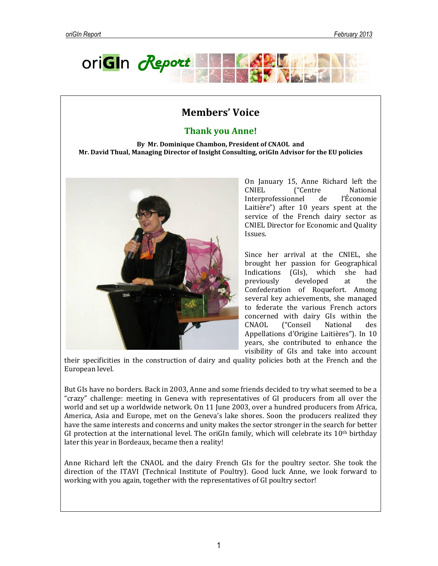

# **Members' Voice**

## **Thank you Anne!**

**By Mr. Dominique Chambon, President of CNAOL and Mr. David Thual, Managing Director of Insight Consulting, oriGIn Advisor for the EU policies**



On January 15, Anne Richard left the CNIEL ("Centre National Interprofessionnel de l'Économie Laitière") after 10 years spent at the service of the French dairy sector as CNIEL Director for Economic and Quality Issues.

Since her arrival at the CNIEL, she brought her passion for Geographical Indications (GIs), which she had previously developed at the Confederation of Roquefort. Among several key achievements, she managed to federate the various French actors concerned with dairy GIs within the CNAOL ("Conseil National des Appellations d'Origine Laitières"). In 10 years, she contributed to enhance the visibility of GIs and take into account

their specificities in the construction of dairy and quality policies both at the French and the European level.

But GIs have no borders. Back in 2003, Anne and some friends decided to try what seemed to be a "crazy" challenge: meeting in Geneva with representatives of GI producers from all over the world and set up a worldwide network. On 11 June 2003, over a hundred producers from Africa, America, Asia and Europe, met on the Geneva's lake shores. Soon the producers realized they have the same interests and concerns and unity makes the sector stronger in the search for better GI protection at the international level. The oriGIn family, which will celebrate its  $10<sup>th</sup>$  birthday later this year in Bordeaux, became then a reality!

Anne Richard left the CNAOL and the dairy French GIs for the poultry sector. She took the direction of the ITAVI (Technical Institute of Poultry). Good luck Anne, we look forward to working with you again, together with the representatives of GI poultry sector!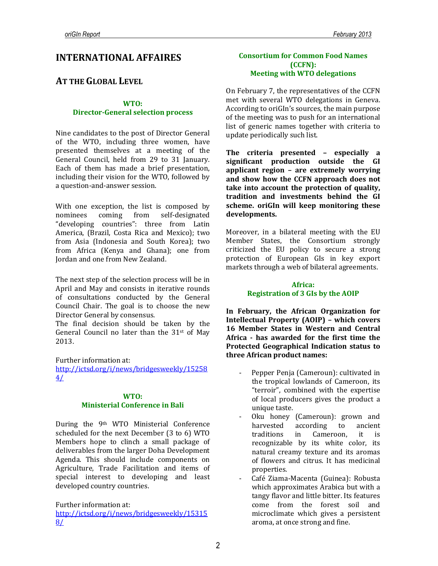## **INTERNATIONAL AFFAIRES**

## **AT THE GLOBAL LEVEL**

#### **WTO: Director-General selection process**

Nine candidates to the post of Director General of the WTO, including three women, have presented themselves at a meeting of the General Council, held from 29 to 31 January. Each of them has made a brief presentation, including their vision for the WTO, followed by a question-and-answer session.

With one exception, the list is composed by nominees coming from self-designated "developing countries": three from Latin America, (Brazil, Costa Rica and Mexico); two from Asia (Indonesia and South Korea); two from Africa (Kenya and Ghana); one from Jordan and one from New Zealand.

The next step of the selection process will be in April and May and consists in iterative rounds of consultations conducted by the General Council Chair. The goal is to choose the new Director General by consensus.

The final decision should be taken by the General Council no later than the  $31<sup>st</sup>$  of May 2013.

Further information at:

[http://ictsd.org/i/news/bridgesweekly/15258](http://ictsd.org/i/news/bridgesweekly/152584/)  $4/$ 

### **WTO: Ministerial Conference in Bali**

During the 9th WTO Ministerial Conference scheduled for the next December (3 to 6) WTO Members hope to clinch a small package of deliverables from the larger Doha Development Agenda. This should include components on Agriculture, Trade Facilitation and items of special interest to developing and least developed country countries.

Further information at:

[http://ictsd.org/i/news/bridgesweekly/15315](http://ictsd.org/i/news/bridgesweekly/153158/) [8/](http://ictsd.org/i/news/bridgesweekly/153158/)

## **Consortium for Common Food Names (CCFN): Meeting with WTO delegations**

On February 7, the representatives of the CCFN met with several WTO delegations in Geneva. According to oriGIn's sources, the main purpose of the meeting was to push for an international list of generic names together with criteria to update periodically such list.

**The criteria presented – especially a significant production outside the GI applicant region – are extremely worrying and show how the CCFN approach does not take into account the protection of quality, tradition and investments behind the GI scheme. oriGIn will keep monitoring these developments.** 

Moreover, in a bilateral meeting with the EU Member States, the Consortium strongly criticized the EU policy to secure a strong protection of European GIs in key export markets through a web of bilateral agreements.

## **Africa: Registration of 3 GIs by the AOIP**

**In February, the African Organization for Intellectual Property (AOIP) – which covers 16 Member States in Western and Central Africa - has awarded for the first time the Protected Geographical Indication status to three African product names:**

- Pepper Penja (Cameroun): cultivated in the tropical lowlands of Cameroon, its "terroir", combined with the expertise of local producers gives the product a unique taste.
- Oku honey (Cameroun): grown and harvested according to ancient traditions in Cameroon, it is recognizable by its white color, its natural creamy texture and its aromas of flowers and citrus. It has medicinal properties.
- Café Ziama-Macenta (Guinea): Robusta which approximates Arabica but with a tangy flavor and little bitter. Its features come from the forest soil and microclimate which gives a persistent aroma, at once strong and fine.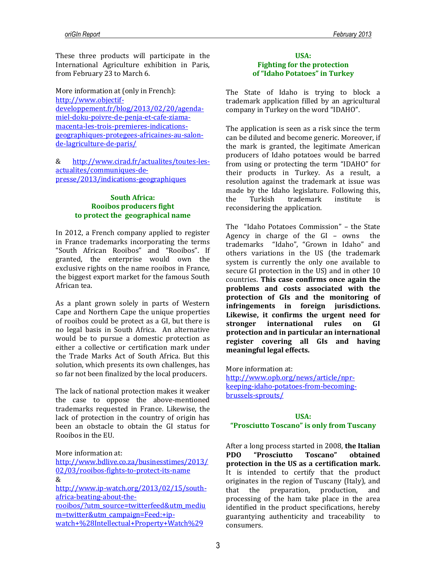These three products will participate in the International Agriculture exhibition in Paris, from February 23 to March 6.

More information at (only in French): [http://www.objectif](http://www.objectif-developpement.fr/blog/2013/02/20/agenda-miel-doku-poivre-de-penja-et-cafe-ziama-macenta-les-trois-premieres-indications-geographiques-protegees-africaines-au-salon-de-lagriculture-de-paris/)[developpement.fr/blog/2013/02/20/agenda](http://www.objectif-developpement.fr/blog/2013/02/20/agenda-miel-doku-poivre-de-penja-et-cafe-ziama-macenta-les-trois-premieres-indications-geographiques-protegees-africaines-au-salon-de-lagriculture-de-paris/)[miel-doku-poivre-de-penja-et-cafe-ziama](http://www.objectif-developpement.fr/blog/2013/02/20/agenda-miel-doku-poivre-de-penja-et-cafe-ziama-macenta-les-trois-premieres-indications-geographiques-protegees-africaines-au-salon-de-lagriculture-de-paris/)[macenta-les-trois-premieres-indications](http://www.objectif-developpement.fr/blog/2013/02/20/agenda-miel-doku-poivre-de-penja-et-cafe-ziama-macenta-les-trois-premieres-indications-geographiques-protegees-africaines-au-salon-de-lagriculture-de-paris/)[geographiques-protegees-africaines-au-salon](http://www.objectif-developpement.fr/blog/2013/02/20/agenda-miel-doku-poivre-de-penja-et-cafe-ziama-macenta-les-trois-premieres-indications-geographiques-protegees-africaines-au-salon-de-lagriculture-de-paris/)[de-lagriculture-de-paris/](http://www.objectif-developpement.fr/blog/2013/02/20/agenda-miel-doku-poivre-de-penja-et-cafe-ziama-macenta-les-trois-premieres-indications-geographiques-protegees-africaines-au-salon-de-lagriculture-de-paris/)

& [http://www.cirad.fr/actualites/toutes-les](http://www.cirad.fr/actualites/toutes-les-actualites/communiques-de-presse/2013/indications-geographiques)[actualites/communiques-de](http://www.cirad.fr/actualites/toutes-les-actualites/communiques-de-presse/2013/indications-geographiques)[presse/2013/indications-geographiques](http://www.cirad.fr/actualites/toutes-les-actualites/communiques-de-presse/2013/indications-geographiques)

#### **South Africa: Rooibos producers fight to protect the geographical name**

In 2012, a French company applied to register in France trademarks incorporating the terms "South African Rooibos" and "Rooibos". If granted, the enterprise would own the exclusive rights on the name rooibos in France, the biggest export market for the famous South African tea.

As a plant grown solely in parts of Western Cape and Northern Cape the unique properties of rooibos could be protect as a GI, but there is no legal basis in South Africa. An alternative would be to pursue a domestic protection as either a collective or certification mark under the Trade Marks Act of South Africa. But this solution, which presents its own challenges, has so far not been finalized by the local producers.

The lack of national protection makes it weaker the case to oppose the above-mentioned trademarks requested in France. Likewise, the lack of protection in the country of origin has been an obstacle to obtain the GI status for Rooibos in the EU.

#### More information at:

[http://www.bdlive.co.za/businesstimes/2013/](http://www.bdlive.co.za/businesstimes/2013/02/03/rooibos-fights-to-protect-its-name) [02/03/rooibos-fights-to-protect-its-name](http://www.bdlive.co.za/businesstimes/2013/02/03/rooibos-fights-to-protect-its-name) & [http://www.ip-watch.org/2013/02/15/south](http://www.ip-watch.org/2013/02/15/south-africa-beating-about-the-rooibos/?utm_source=twitterfeed&utm_medium=twitter&utm_campaign=Feed:+ip-watch+%28Intellectual+Property+Watch%29)[africa-beating-about-the](http://www.ip-watch.org/2013/02/15/south-africa-beating-about-the-rooibos/?utm_source=twitterfeed&utm_medium=twitter&utm_campaign=Feed:+ip-watch+%28Intellectual+Property+Watch%29)[rooibos/?utm\\_source=twitterfeed&utm\\_mediu](http://www.ip-watch.org/2013/02/15/south-africa-beating-about-the-rooibos/?utm_source=twitterfeed&utm_medium=twitter&utm_campaign=Feed:+ip-watch+%28Intellectual+Property+Watch%29) [m=twitter&utm\\_campaign=Feed:+ip](http://www.ip-watch.org/2013/02/15/south-africa-beating-about-the-rooibos/?utm_source=twitterfeed&utm_medium=twitter&utm_campaign=Feed:+ip-watch+%28Intellectual+Property+Watch%29)[watch+%28Intellectual+Property+Watch%29](http://www.ip-watch.org/2013/02/15/south-africa-beating-about-the-rooibos/?utm_source=twitterfeed&utm_medium=twitter&utm_campaign=Feed:+ip-watch+%28Intellectual+Property+Watch%29)

### **USA: Fighting for the protection of "Idaho Potatoes" in Turkey**

The State of Idaho is trying to block a trademark application filled by an agricultural company in Turkey on the word "IDAHO".

The application is seen as a risk since the term can be diluted and become generic. Moreover, if the mark is granted, the legitimate American producers of Idaho potatoes would be barred from using or protecting the term "IDAHO" for their products in Turkey. As a result, a resolution against the trademark at issue was made by the Idaho legislature. Following this, the Turkish trademark institute is reconsidering the application.

The "Idaho Potatoes Commission" – the State Agency in charge of the GI – owns the trademarks "Idaho", "Grown in Idaho" and others variations in the US (the trademark system is currently the only one available to secure GI protection in the US) and in other 10 countries. **This case confirms once again the problems and costs associated with the protection of GIs and the monitoring of infringements in foreign jurisdictions. Likewise, it confirms the urgent need for stronger international rules on GI protection and in particular an international register covering all GIs and having meaningful legal effects.** 

More information at: [http://www.opb.org/news/article/npr](http://www.opb.org/news/article/npr-keeping-idaho-potatoes-from-becoming-brussels-sprouts/)[keeping-idaho-potatoes-from-becoming](http://www.opb.org/news/article/npr-keeping-idaho-potatoes-from-becoming-brussels-sprouts/)[brussels-sprouts/](http://www.opb.org/news/article/npr-keeping-idaho-potatoes-from-becoming-brussels-sprouts/)

#### **USA: "Prosciutto Toscano" is only from Tuscany**

After a long process started in 2008, **the Italian PDO "Prosciutto Toscano" obtained protection in the US as a certification mark.** It is intended to certify that the product originates in the region of Tuscany (Italy), and that the preparation, production, and processing of the ham take place in the area identified in the product specifications, hereby guarantying authenticity and traceability to consumers.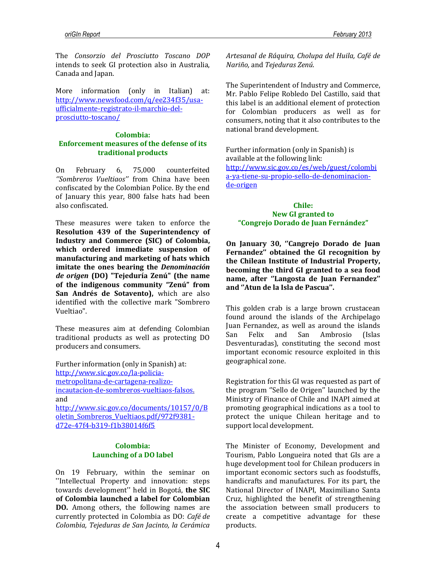The *Consorzio del Prosciutto Toscano DOP* intends to seek GI protection also in Australia, Canada and Japan.

More information (only in Italian) at: [http://www.newsfood.com/q/ee234f35/usa](http://www.newsfood.com/q/ee234f35/usa-ufficialmente-registrato-il-marchio-del-prosciutto-toscano/)[ufficialmente-registrato-il-marchio-del](http://www.newsfood.com/q/ee234f35/usa-ufficialmente-registrato-il-marchio-del-prosciutto-toscano/)[prosciutto-toscano/](http://www.newsfood.com/q/ee234f35/usa-ufficialmente-registrato-il-marchio-del-prosciutto-toscano/)

## **Colombia: Enforcement measures of the defense of its traditional products**

On February 6, 75,000 counterfeited *''Sombreros Vueltiaos''* from China have been confiscated by the Colombian Police. By the end of January this year, 800 false hats had been also confiscated.

These measures were taken to enforce the **Resolution 439 of the Superintendency of Industry and Commerce (SIC) of Colombia, which ordered immediate suspension of manufacturing and marketing of hats which imitate the ones bearing the** *Denominación de origen* **(DO) "Tejeduría Zenú" (the name of the indigenous community "Zenú" from San Andrés de Sotavento),** which are also identified with the collective mark "Sombrero Vueltiao".

These measures aim at defending Colombian traditional products as well as protecting DO producers and consumers.

Further information (only in Spanish) at: [http://www.sic.gov.co/la-policia](http://www.sic.gov.co/la-policia-metropolitana-de-cartagena-realizo-incautacion-de-sombreros-vueltiaos-falsos)[metropolitana-de-cartagena-realizo](http://www.sic.gov.co/la-policia-metropolitana-de-cartagena-realizo-incautacion-de-sombreros-vueltiaos-falsos)[incautacion-de-sombreros-vueltiaos-falsos.](http://www.sic.gov.co/la-policia-metropolitana-de-cartagena-realizo-incautacion-de-sombreros-vueltiaos-falsos) and [http://www.sic.gov.co/documents/10157/0/B](http://www.sic.gov.co/documents/10157/0/Boletin_Sombreros_Vueltiaos.pdf/972f9381-d72e-47f4-b319-f1b38014f6f5) [oletin\\_Sombreros\\_Vueltiaos.pdf/972f9381](http://www.sic.gov.co/documents/10157/0/Boletin_Sombreros_Vueltiaos.pdf/972f9381-d72e-47f4-b319-f1b38014f6f5) [d72e-47f4-b319-f1b38014f6f5](http://www.sic.gov.co/documents/10157/0/Boletin_Sombreros_Vueltiaos.pdf/972f9381-d72e-47f4-b319-f1b38014f6f5)

#### **Colombia: Launching of a DO label**

On 19 February, within the seminar on ''Intellectual Property and innovation: steps towards development'' held in Bogotá, **the SIC of Colombia launched a label for Colombian DO.** Among others, the following names are currently protected in Colombia as DO: *Café de Colombia, Tejeduras de San Jacinto, la Cerámica* 

*Artesanal de Ráquira, Cholupa del Huila, Café de Nariño,* and *Tejeduras Zenú*.

The Superintendent of Industry and Commerce, Mr. Pablo Felipe Robledo Del Castillo, said that this label is an additional element of protection for Colombian producers as well as for consumers, noting that it also contributes to the national brand development.

Further information (only in Spanish) is available at the following link: [http://www.sic.gov.co/es/web/guest/colombi](http://www.sic.gov.co/es/web/guest/colombia-ya-tiene-su-propio-sello-de-denominacion-de-origen) [a-ya-tiene-su-propio-sello-de-denominacion](http://www.sic.gov.co/es/web/guest/colombia-ya-tiene-su-propio-sello-de-denominacion-de-origen)[de-origen](http://www.sic.gov.co/es/web/guest/colombia-ya-tiene-su-propio-sello-de-denominacion-de-origen)

### **Chile: New GI granted to "Congrejo Dorado de Juan Fernández"**

**On January 30, ''Cangrejo Dorado de Juan Fernandez'' obtained the GI recognition by the Chilean Institute of Industrial Property, becoming the third GI granted to a sea food name, after ''Langosta de Juan Fernandez'' and ''Atun de la Isla de Pascua''.** 

This golden crab is a large brown crustacean found around the islands of the Archipelago Juan Fernandez, as well as around the islands San Felix and San Ambrosio (Islas Desventuradas), constituting the second most important economic resource exploited in this geographical zone.

Registration for this GI was requested as part of the program ''Sello de Origen'' launched by the Ministry of Finance of Chile and INAPI aimed at promoting geographical indications as a tool to protect the unique Chilean heritage and to support local development.

The Minister of Economy, Development and Tourism, Pablo Longueira noted that GIs are a huge development tool for Chilean producers in important economic sectors such as foodstuffs, handicrafts and manufactures. For its part, the National Director of INAPI, Maximiliano Santa Cruz, highlighted the benefit of strengthening the association between small producers to create a competitive advantage for these products.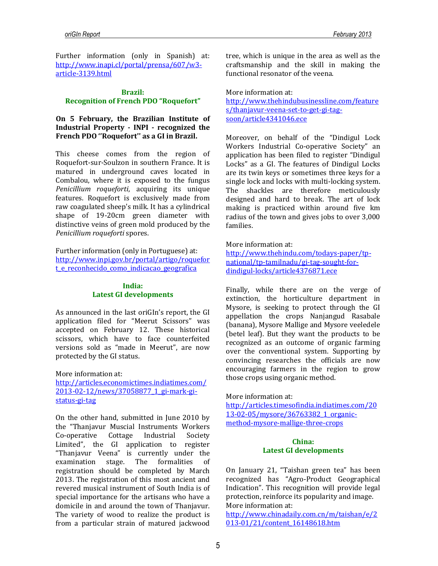Further information (only in Spanish) at: [http://www.inapi.cl/portal/prensa/607/w3](http://www.facebook.com/l.php?u=http%3A%2F%2Fwww.inapi.cl%2Fportal%2Fprensa%2F607%2Fw3-article-3139.html&h=8AQF_jJSd) [article-3139.html](http://www.facebook.com/l.php?u=http%3A%2F%2Fwww.inapi.cl%2Fportal%2Fprensa%2F607%2Fw3-article-3139.html&h=8AQF_jJSd)

#### **Brazil: Recognition of French PDO "Roquefort"**

## **On 5 February, the Brazilian Institute of Industrial Property - INPI - recognized the French PDO ''Roquefort'' as a GI in Brazil.**

This cheese comes from the region of Roquefort-sur-Soulzon in southern France. It is matured in underground caves located in Combalou, where it is exposed to the fungus *Penicillium roqueforti*, acquiring its unique features. Roquefort is exclusively made from raw coagulated sheep's milk. It has a cylindrical shape of 19-20cm green diameter with distinctive veins of green [mold](http://en.wikipedia.org/wiki/Mold) produced by the *Penicillium roqueforti* spores.

Further information (only in Portuguese) at: [http://www.inpi.gov.br/portal/artigo/roquefor](http://www.inpi.gov.br/portal/artigo/roquefort_e_reconhecido_como_indicacao_geografica) [t\\_e\\_reconhecido\\_como\\_indicacao\\_geografica](http://www.inpi.gov.br/portal/artigo/roquefort_e_reconhecido_como_indicacao_geografica)

### **India: Latest GI developments**

As announced in the last oriGIn's report, the GI application filed for "Meerut Scissors" was accepted on February 12. These historical scissors, which have to face counterfeited versions sold as "made in Meerut", are now protected by the GI status.

More information at: [http://articles.economictimes.indiatimes.com/](http://articles.economictimes.indiatimes.com/2013-02-12/news/37058877_1_gi-mark-gi-status-gi-tag) [2013-02-12/news/37058877\\_1\\_gi-mark-gi](http://articles.economictimes.indiatimes.com/2013-02-12/news/37058877_1_gi-mark-gi-status-gi-tag)[status-gi-tag](http://articles.economictimes.indiatimes.com/2013-02-12/news/37058877_1_gi-mark-gi-status-gi-tag)

On the other hand, submitted in June 2010 by the "Thanjavur Muscial Instruments Workers Co-operative Cottage Industrial Society Limited", the GI application to register "Thanjavur Veena" is currently under the examination stage. The formalities of registration should be completed by March 2013. The registration of this most ancient and revered musical instrument of South India is of special importance for the artisans who have a domicile in and around the town of Thanjavur. The variety of wood to realize the product is from a particular strain of matured jackwood

tree, which is unique in the area as well as the craftsmanship and the skill in making the functional resonator of the veena.

More information at: [http://www.thehindubusinessline.com/feature](http://www.thehindubusinessline.com/features/thanjavur-veena-set-to-get-gi-tag-soon/article4341046.ece) [s/thanjavur-veena-set-to-get-gi-tag](http://www.thehindubusinessline.com/features/thanjavur-veena-set-to-get-gi-tag-soon/article4341046.ece)[soon/article4341046.ece](http://www.thehindubusinessline.com/features/thanjavur-veena-set-to-get-gi-tag-soon/article4341046.ece)

Moreover, on behalf of the "Dindigul Lock Workers Industrial Co-operative Society" an application has been filed to register "Dindigul Locks" as a GI. The features of Dindigul Locks are its twin keys or sometimes three keys for a single lock and locks with multi-locking system. The shackles are therefore meticulously designed and hard to break. The art of lock making is practiced within around five km radius of the town and gives jobs to over 3,000 families.

More information at:

[http://www.thehindu.com/todays-paper/tp](http://www.thehindu.com/todays-paper/tp-national/tp-tamilnadu/gi-tag-sought-for-dindigul-locks/article4376871.ece)[national/tp-tamilnadu/gi-tag-sought-for](http://www.thehindu.com/todays-paper/tp-national/tp-tamilnadu/gi-tag-sought-for-dindigul-locks/article4376871.ece)[dindigul-locks/article4376871.ece](http://www.thehindu.com/todays-paper/tp-national/tp-tamilnadu/gi-tag-sought-for-dindigul-locks/article4376871.ece)

Finally, while there are on the verge of extinction, the horticulture department in Mysore, is seeking to protect through the GI appellation the crops Nanjangud Rasabale (banana), Mysore Mallige and Mysore veeledele (betel leaf). But they want the products to be recognized as an outcome of organic farming over the conventional system. Supporting by convincing researches the officials are now encouraging farmers in the region to grow those crops using organic method.

More information at:

[http://articles.timesofindia.indiatimes.com/20](http://articles.timesofindia.indiatimes.com/2013-02-05/mysore/36763382_1_organic-method-mysore-mallige-three-crops) [13-02-05/mysore/36763382\\_1\\_organic](http://articles.timesofindia.indiatimes.com/2013-02-05/mysore/36763382_1_organic-method-mysore-mallige-three-crops)[method-mysore-mallige-three-crops](http://articles.timesofindia.indiatimes.com/2013-02-05/mysore/36763382_1_organic-method-mysore-mallige-three-crops)

#### **China: Latest GI developments**

On January 21, "Taishan green tea" has been recognized has "Agro-Product Geographical Indication". This recognition will provide legal protection, reinforce its popularity and image. More information at:

[http://www.chinadaily.com.cn/m/taishan/e/2](http://www.chinadaily.com.cn/m/taishan/e/2013-01/21/content_16148618.htm) [013-01/21/content\\_16148618.htm](http://www.chinadaily.com.cn/m/taishan/e/2013-01/21/content_16148618.htm)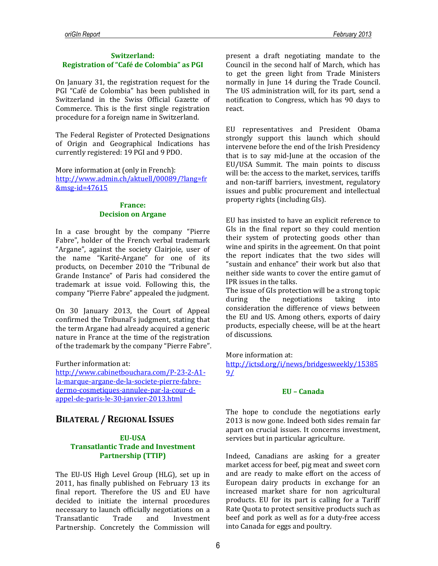## **Switzerland: Registration of "Café de Colombia" as PGI**

On January 31, the registration request for the PGI "Café de Colombia" has been published in Switzerland in the Swiss Official Gazette of Commerce. This is the first single registration procedure for a foreign name in Switzerland.

The Federal Register of Protected Designations of Origin and Geographical Indications has currently registered: 19 PGI and 9 PDO.

More information at (only in French): [http://www.admin.ch/aktuell/00089/?lang=fr](http://www.admin.ch/aktuell/00089/?lang=fr&msg-id=47615) [&msg-id=47615](http://www.admin.ch/aktuell/00089/?lang=fr&msg-id=47615)

#### **France: Decision on Argane**

In a case brought by the company "Pierre Fabre", holder of the French verbal trademark "Argane", against the society Clairjoie, user of the name "Karité-Argane" for one of its products, on December 2010 the "Tribunal de Grande Instance" of Paris had considered the trademark at issue void. Following this, the company "Pierre Fabre" appealed the judgment.

On 30 January 2013, the Court of Appeal confirmed the Tribunal's judgment, stating that the term Argane had already acquired a generic nature in France at the time of the registration of the trademark by the company "Pierre Fabre".

Further information at:

[http://www.cabinetbouchara.com/P-23-2-A1](http://www.cabinetbouchara.com/P-23-2-A1-la-marque-argane-de-la-societe-pierre-fabre-dermo-cosmetiques-annulee-par-la-cour-d-appel-de-paris-le-30-janvier-2013.html) [la-marque-argane-de-la-societe-pierre-fabre](http://www.cabinetbouchara.com/P-23-2-A1-la-marque-argane-de-la-societe-pierre-fabre-dermo-cosmetiques-annulee-par-la-cour-d-appel-de-paris-le-30-janvier-2013.html)[dermo-cosmetiques-annulee-par-la-cour-d](http://www.cabinetbouchara.com/P-23-2-A1-la-marque-argane-de-la-societe-pierre-fabre-dermo-cosmetiques-annulee-par-la-cour-d-appel-de-paris-le-30-janvier-2013.html)[appel-de-paris-le-30-janvier-2013.html](http://www.cabinetbouchara.com/P-23-2-A1-la-marque-argane-de-la-societe-pierre-fabre-dermo-cosmetiques-annulee-par-la-cour-d-appel-de-paris-le-30-janvier-2013.html)

## **BILATERAL / REGIONAL ISSUES**

## **EU-USA Transatlantic Trade and Investment Partnership (TTIP)**

The EU-US High Level Group (HLG), set up in 2011, has finally published on February 13 its final report. Therefore the US and EU have decided to initiate the internal procedures necessary to launch officially negotiations on a Transatlantic Trade and Investment Partnership. Concretely the Commission will

present a draft negotiating mandate to the Council in the second half of March, which has to get the green light from Trade Ministers normally in June 14 during the Trade Council. The US administration will, for its part, send a notification to Congress, which has 90 days to react.

EU representatives and President Obama strongly support this launch which should intervene before the end of the Irish Presidency that is to say mid-June at the occasion of the EU/USA Summit. The main points to discuss will be: the access to the market, services, tariffs and non-tariff barriers, investment, regulatory issues and public procurement and intellectual property rights (including GIs).

EU has insisted to have an explicit reference to GIs in the final report so they could mention their system of protecting goods other than wine and spirits in the agreement. On that point the report indicates that the two sides will "sustain and enhance" their work but also that neither side wants to cover the entire gamut of IPR issues in the talks.

The issue of GIs protection will be a strong topic during the negotiations taking into consideration the difference of views between the EU and US. Among others, exports of dairy products, especially cheese, will be at the heart of discussions.

#### More information at:

[http://ictsd.org/i/news/bridgesweekly/15385](http://ictsd.org/i/news/bridgesweekly/153859/) [9/](http://ictsd.org/i/news/bridgesweekly/153859/)

#### **EU – Canada**

The hope to conclude the negotiations early 2013 is now gone. Indeed both sides remain far apart on crucial issues. It concerns investment, services but in particular agriculture.

Indeed, Canadians are asking for a greater market access for beef, pig meat and sweet corn and are ready to make effort on the access of European dairy products in exchange for an increased market share for non agricultural products. EU for its part is calling for a Tariff Rate Quota to protect sensitive products such as beef and pork as well as for a duty-free access into Canada for eggs and poultry.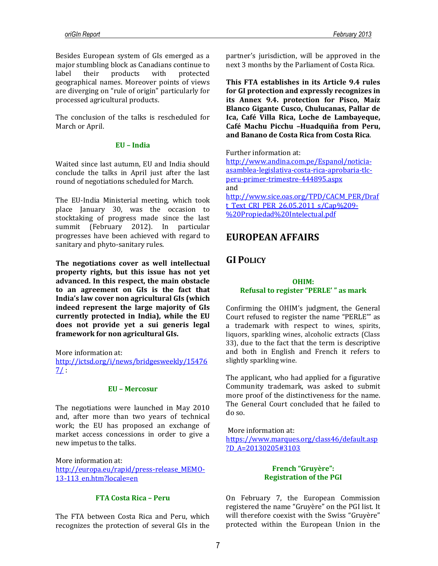Besides European system of GIs emerged as a major stumbling block as Canadians continue to label their products with protected geographical names. Moreover points of views are diverging on "rule of origin" particularly for processed agricultural products.

The conclusion of the talks is rescheduled for March or April.

#### **EU – India**

Waited since last autumn, EU and India should conclude the talks in April just after the last round of negotiations scheduled for March.

The EU-India Ministerial meeting, which took place January 30, was the occasion to stocktaking of progress made since the last summit (February 2012). In particular progresses have been achieved with regard to sanitary and phyto-sanitary rules.

**The negotiations cover as well intellectual property rights, but this issue has not yet advanced. In this respect, the main obstacle to an agreement on GIs is the fact that India's law cover non agricultural GIs (which indeed represent the large majority of GIs currently protected in India), while the EU does not provide yet a sui generis legal framework for non agricultural GIs.** 

More information at:

[http://ictsd.org/i/news/bridgesweekly/15476](http://ictsd.org/i/news/bridgesweekly/154767/)  $7/$ 

#### **EU – Mercosur**

The negotiations were launched in May 2010 and, after more than two years of technical work; the EU has proposed an exchange of market access concessions in order to give a new impetus to the talks.

More information at: [http://europa.eu/rapid/press-release\\_MEMO-](http://europa.eu/rapid/press-release_MEMO-13-113_en.htm?locale=en)[13-113\\_en.htm?locale=en](http://europa.eu/rapid/press-release_MEMO-13-113_en.htm?locale=en)

#### **FTA Costa Rica – Peru**

The FTA between Costa Rica and Peru, which recognizes the protection of several GIs in the partner's jurisdiction, will be approved in the next 3 months by the Parliament of Costa Rica.

**This FTA establishes in its Article 9.4 rules for GI protection and expressly recognizes in its Annex 9.4. protection for Pisco, Maíz Blanco Gigante Cusco, Chulucanas, Pallar de Ica, Café Villa Rica, Loche de Lambayeque, Café Machu Picchu –Huadquiña from Peru, and Banano de Costa Rica from Costa Rica**.

#### Further information at:

[http://www.andina.com.pe/Espanol/noticia](http://www.andina.com.pe/Espanol/noticia-asamblea-legislativa-costa-rica-aprobaria-tlc-peru-primer-trimestre-444895.aspx)[asamblea-legislativa-costa-rica-aprobaria-tlc](http://www.andina.com.pe/Espanol/noticia-asamblea-legislativa-costa-rica-aprobaria-tlc-peru-primer-trimestre-444895.aspx)[peru-primer-trimestre-444895.aspx](http://www.andina.com.pe/Espanol/noticia-asamblea-legislativa-costa-rica-aprobaria-tlc-peru-primer-trimestre-444895.aspx) and http://www.sice.oas.org/TPD/CACM\_PER/Draf t\_Text\_CRI\_PER\_26.05.2011\_s/Cap%209-

%20Propiedad%20Intelectual.pdf

## **EUROPEAN AFFAIRS**

## **GI POLICY**

## **OHIM: Refusal to register "PERLE' " as mark**

Confirming the OHIM's judgment, the General Court refused to register the name "PERLE'" as a trademark with respect to wines, spirits, liquors, sparkling wines, alcoholic extracts (Class 33), due to the fact that the term is descriptive and both in English and French it refers to slightly sparkling wine.

The applicant, who had applied for a figurative Community trademark, was asked to submit more proof of the distinctiveness for the name. The General Court concluded that he failed to do so.

More information at: [https://www.marques.org/class46/default.asp](https://www.marques.org/class46/default.asp?D_A=20130205#3103) [?D\\_A=20130205#3103](https://www.marques.org/class46/default.asp?D_A=20130205#3103)

### **French "Gruyère": Registration of the PGI**

On February 7, the European Commission registered the name "Gruyère" on the PGI list. It will therefore coexist with the Swiss "Gruyère" protected within the European Union in the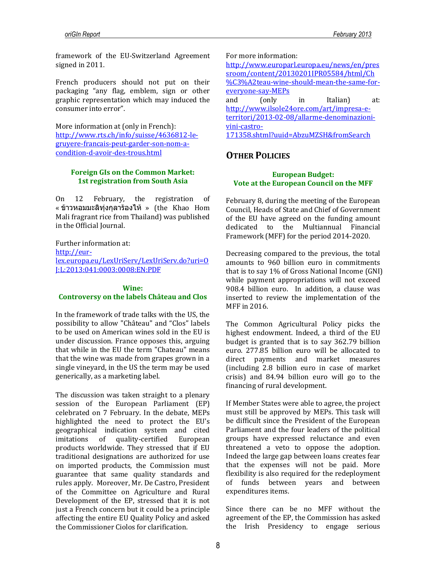framework of the EU-Switzerland Agreement signed in 2011.

French producers should not put on their packaging "any flag, emblem, sign or other graphic representation which may induced the consumer into error".

More information at (only in French): [http://www.rts.ch/info/suisse/4636812-le](http://www.rts.ch/info/suisse/4636812-le-gruyere-francais-peut-garder-son-nom-a-condition-d-avoir-des-trous.html)[gruyere-francais-peut-garder-son-nom-a](http://www.rts.ch/info/suisse/4636812-le-gruyere-francais-peut-garder-son-nom-a-condition-d-avoir-des-trous.html)[condition-d-avoir-des-trous.html](http://www.rts.ch/info/suisse/4636812-le-gruyere-francais-peut-garder-son-nom-a-condition-d-avoir-des-trous.html)

## **Foreign GIs on the Common Market: 1st registration from South Asia**

On 12 February, the registration of  $\cdot$  ข้าวหอมมะลิทุ่งกุลาร้องไห้ » (the Khao Hom Mali fragrant rice from Thailand) was published in the Official Journal.

Further information at:

[http://eur-](http://eur-lex.europa.eu/LexUriServ/LexUriServ.do?uri=OJ:L:2013:041:0003:0008:EN:PDF)

[lex.europa.eu/LexUriServ/LexUriServ.do?uri=O](http://eur-lex.europa.eu/LexUriServ/LexUriServ.do?uri=OJ:L:2013:041:0003:0008:EN:PDF) [J:L:2013:041:0003:0008:EN:PDF](http://eur-lex.europa.eu/LexUriServ/LexUriServ.do?uri=OJ:L:2013:041:0003:0008:EN:PDF)

#### **Wine:**

## **Controversy on the labels Château and Clos**

In the framework of trade talks with the US, the possibility to allow "Château" and "Clos" labels to be used on American wines sold in the EU is under discussion. France opposes this, arguing that while in the EU the term "Chateau" means that the wine was made from grapes grown in a single vineyard, in the US the term may be used generically, as a marketing label.

The discussion was taken straight to a plenary session of the European Parliament (EP) celebrated on 7 February. In the debate, MEPs highlighted the need to protect the EU's geographical indication system and cited imitations of quality-certified European products worldwide. They stressed that if EU traditional designations are authorized for use on imported products, the Commission must guarantee that same quality standards and rules apply. Moreover, Mr. De Castro, President of the Committee on Agriculture and Rural Development of the EP, stressed that it is not just a French concern but it could be a principle affecting the entire EU Quality Policy and asked the Commissioner Ciolos for clarification.

For more information:

[http://www.europarl.europa.eu/news/en/pres](http://www.europarl.europa.eu/news/en/pressroom/content/20130201IPR05584/html/Ch%C3%A2teau-wine-should-mean-the-same-for-everyone-say-MEPs) [sroom/content/20130201IPR05584/html/Ch](http://www.europarl.europa.eu/news/en/pressroom/content/20130201IPR05584/html/Ch%C3%A2teau-wine-should-mean-the-same-for-everyone-say-MEPs) [%C3%A2teau-wine-should-mean-the-same-for](http://www.europarl.europa.eu/news/en/pressroom/content/20130201IPR05584/html/Ch%C3%A2teau-wine-should-mean-the-same-for-everyone-say-MEPs)[everyone-say-MEPs](http://www.europarl.europa.eu/news/en/pressroom/content/20130201IPR05584/html/Ch%C3%A2teau-wine-should-mean-the-same-for-everyone-say-MEPs) and (only in Italian) at: [http://www.ilsole24ore.com/art/impresa-e](http://www.ilsole24ore.com/art/impresa-e-territori/2013-02-08/allarme-denominazioni-vini-castro-171358.shtml?uuid=AbzuMZSH&fromSearch)[territori/2013-02-08/allarme-denominazioni](http://www.ilsole24ore.com/art/impresa-e-territori/2013-02-08/allarme-denominazioni-vini-castro-171358.shtml?uuid=AbzuMZSH&fromSearch)[vini-castro-](http://www.ilsole24ore.com/art/impresa-e-territori/2013-02-08/allarme-denominazioni-vini-castro-171358.shtml?uuid=AbzuMZSH&fromSearch)[171358.shtml?uuid=AbzuMZSH&fromSearch](http://www.ilsole24ore.com/art/impresa-e-territori/2013-02-08/allarme-denominazioni-vini-castro-171358.shtml?uuid=AbzuMZSH&fromSearch)

## **OTHER POLICIES**

## **European Budget: Vote at the European Council on the MFF**

February 8, during the meeting of the European Council, Heads of State and Chief of Government of the EU have agreed on the funding amount dedicated to the Multiannual Financial Framework (MFF) for the period 2014-2020.

Decreasing compared to the previous, the total amounts to 960 billion euro in commitments that is to say 1% of Gross National Income (GNI) while payment appropriations will not exceed 908.4 billion euro. In addition, a clause was inserted to review the implementation of the MFF in 2016.

The Common Agricultural Policy picks the highest endowment. Indeed, a third of the EU budget is granted that is to say 362.79 billion euro. 277.85 billion euro will be allocated to direct payments and market measures (including 2.8 billion euro in case of market crisis) and 84.94 billion euro will go to the financing of rural development.

If Member States were able to agree, the project must still be approved by MEPs. This task will be difficult since the President of the European Parliament and the four leaders of the political groups have expressed reluctance and even threatened a veto to oppose the adoption. Indeed the large gap between loans creates fear that the expenses will not be paid. More flexibility is also required for the redeployment of funds between years and between expenditures items.

Since there can be no MFF without the agreement of the EP, the Commission has asked the Irish Presidency to engage serious